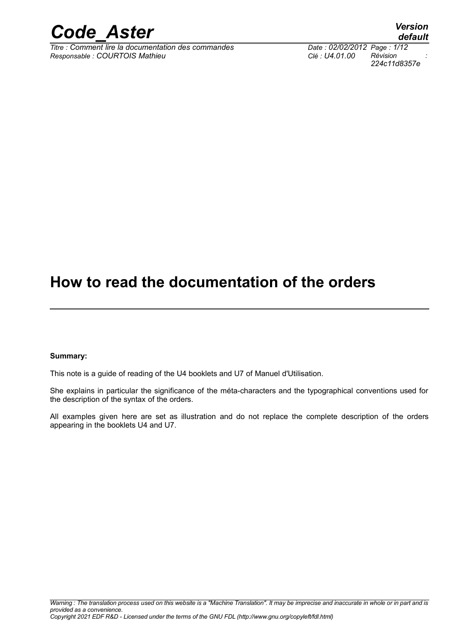

*Titre : Comment lire la documentation des commandes Responsable : COURTOIS Mathieu Clé : U4.01.00 Révision :*

*224c11d8357e*

# **How to read the documentation of the orders**

#### **Summary:**

This note is a guide of reading of the U4 booklets and U7 of Manuel d'Utilisation.

She explains in particular the significance of the méta-characters and the typographical conventions used for the description of the syntax of the orders.

All examples given here are set as illustration and do not replace the complete description of the orders appearing in the booklets U4 and U7.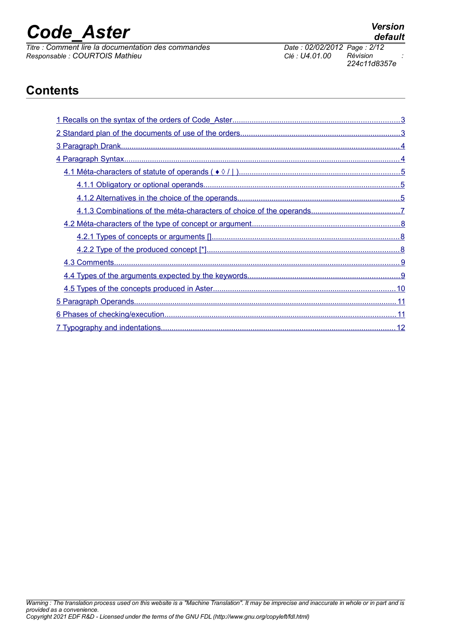*Titre : Comment lire la documentation des commandes Date : 02/02/2012 Page : 2*<br> *Responsable : COURTOIS Mathieu Commandes Clé : U4.01.00 Révision Responsable : COURTOIS Mathieu Clé : U4.01.00 Révision :*

*224c11d8357e*

## **Contents**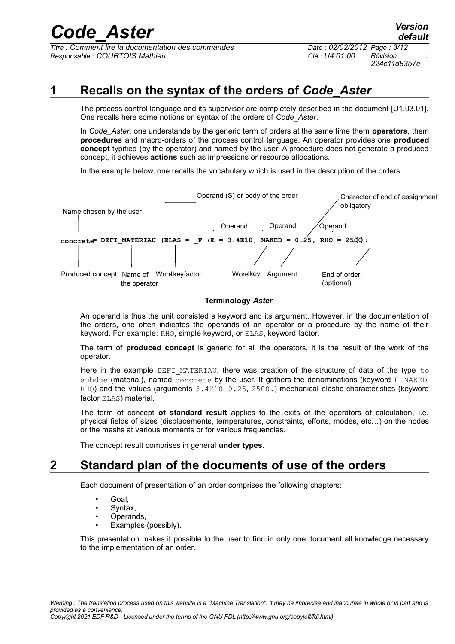*Titre : Comment lire la documentation des commandes Date : 02/02/2012 Page : 3/12 Responsable : COURTOIS Mathieu Clé : U4.01.00 Révision :*

## **1 Recalls on the syntax of the orders of** *Code\_Aster*

<span id="page-2-1"></span>The process control language and its supervisor are completely described in the document [U1.03.01]. One recalls here some notions on syntax of the orders of *Code\_Aster*.

In *Code\_Aster*, one understands by the generic term of orders at the same time them **operators**, them **procedures** and macro-orders of the process control language. An operator provides one **produced concept** typified (by the operator) and named by the user. A procedure does not generate a produced concept, it achieves **actions** such as impressions or resource allocations.

In the example below, one recalls the vocabulary which is used in the description of the orders.



#### **Terminology** *Aster*

An operand is thus the unit consisted a keyword and its argument. However, in the documentation of the orders, one often indicates the operands of an operator or a procedure by the name of their keyword. For example: RHO, simple keyword, or ELAS, keyword factor.

The term of **produced concept** is generic for all the operators, it is the result of the work of the operator.

Here in the example DEFI\_MATERIAU, there was creation of the structure of data of the type to subdue (material), named concrete by the user. It gathers the denominations (keyword E, NAKED, RHO) and the values (arguments 3.4E10, 0.25, 2500.) mechanical elastic characteristics (keyword factor ELAS) material.

The term of concept **of standard result** applies to the exits of the operators of calculation, i.e. physical fields of sizes (displacements, temperatures, constraints, efforts, modes, etc…) on the nodes or the meshs at various moments or for various frequencies.

<span id="page-2-0"></span>The concept result comprises in general **under types.**

### **2 Standard plan of the documents of use of the orders**

Each document of presentation of an order comprises the following chapters:

- Goal,
- Syntax.
- Operands.
- Examples (possibly).

This presentation makes it possible to the user to find in only one document all knowledge necessary to the implementation of an order.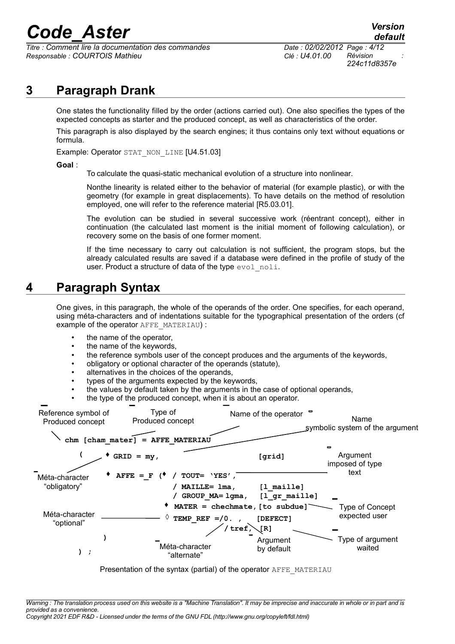*Titre : Comment lire la documentation des commandes Date : 02/02/2012 Page : 4/12 Responsable : COURTOIS Mathieu Clé : U4.01.00 Révision :*

### **3 Paragraph Drank**

<span id="page-3-1"></span>One states the functionality filled by the order (actions carried out). One also specifies the types of the expected concepts as starter and the produced concept, as well as characteristics of the order.

This paragraph is also displayed by the search engines; it thus contains only text without equations or formula.

Example: Operator STAT\_NON\_LINE [U4.51.03]

#### **Goal** :

To calculate the quasi-static mechanical evolution of a structure into nonlinear.

Nonthe linearity is related either to the behavior of material (for example plastic), or with the geometry (for example in great displacements). To have details on the method of resolution employed, one will refer to the reference material [R5.03.01].

The evolution can be studied in several successive work (réentrant concept), either in continuation (the calculated last moment is the initial moment of following calculation), or recovery some on the basis of one former moment.

If the time necessary to carry out calculation is not sufficient, the program stops, but the already calculated results are saved if a database were defined in the profile of study of the user. Product a structure of data of the type evol noli.

### **4 Paragraph Syntax**

<span id="page-3-0"></span>One gives, in this paragraph, the whole of the operands of the order. One specifies, for each operand, using méta-characters and of indentations suitable for the typographical presentation of the orders (cf example of the operator AFFE\_MATERIAU) :

- the name of the operator,
- the name of the keywords,
- the reference symbols user of the concept produces and the arguments of the keywords,
- obligatory or optional character of the operands (statute),
- alternatives in the choices of the operands,
- types of the arguments expected by the keywords,
- the values by default taken by the arguments in the case of optional operands,
- the type of the produced concept, when it is about an operator.

| Reference symbol of<br>Produced concept | Type of<br>Produced concept                                        | Name of the operator                                       | Name<br>symbolic system of the argument       |  |
|-----------------------------------------|--------------------------------------------------------------------|------------------------------------------------------------|-----------------------------------------------|--|
|                                         | $chm$ [ $cham$ $matter$ ] = AFFE MATERIAU                          |                                                            |                                               |  |
|                                         | $GRID = my,$                                                       | [grid]                                                     | $\blacksquare$<br>Argument<br>imposed of type |  |
| Méta-character                          | $TOUT= 'YES'$<br>AFFE = F $($                                      |                                                            | text                                          |  |
| "obligatory"                            | $MATLLE = Ima,$                                                    | $[1 \text{ maille}]$<br>GROUP MA= lgma,<br>$[1$ gr maille] |                                               |  |
|                                         |                                                                    | MATER = chechmate, [to subdue]                             | Type of Concept                               |  |
| Méta-character<br>"optional"            | TEMP REF =/0.,                                                     | [DEFECT]                                                   | expected user                                 |  |
|                                         |                                                                    | $treef$ ,<br>$\sqrt{R}$                                    |                                               |  |
| ) ;                                     | Méta-character<br>"alternate"                                      | Argument<br>by default                                     | Type of argument<br>waited                    |  |
|                                         | Presentation of the syntax (partial) of the operator AFFE MATERIAU |                                                            |                                               |  |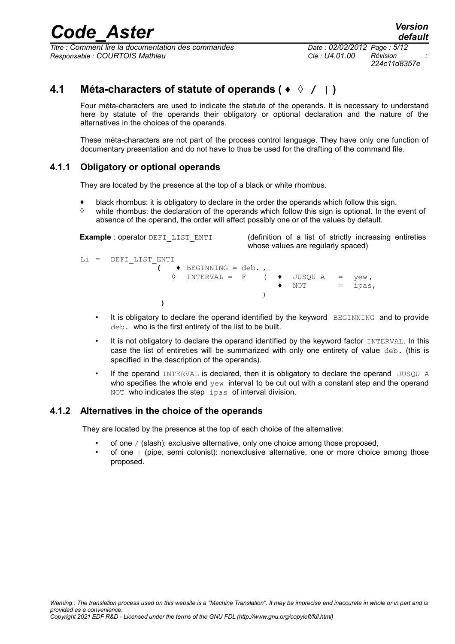*<u>Titre : Comment lire la documentation des commandes</u> Responsable : COURTOIS Mathieu Clé : U4.01.00 Révision :*

*224c11d8357e*

### **4.1 Méta-characters of statute of operands ( ♦ ◊ / | )**

<span id="page-4-2"></span>Four méta-characters are used to indicate the statute of the operands. It is necessary to understand here by statute of the operands their obligatory or optional declaration and the nature of the alternatives in the choices of the operands.

These méta-characters are not part of the process control language. They have only one function of documentary presentation and do not have to thus be used for the drafting of the command file.

### **4.1.1 Obligatory or optional operands**

<span id="page-4-1"></span>They are located by the presence at the top of a black or white rhombus.

- ♦ black rhombus: it is obligatory to declare in the order the operands which follow this sign.
- $\diamond$  white rhombus: the declaration of the operands which follow this sign is optional. In the event of absence of the operand, the order will affect possibly one or of the values by default.

**Example** : operator DEFILIST\_ENTI (definition of a list of strictly increasing entireties whose values are regularly spaced) Li = DEFI\_LIST\_ENTI **(** ♦ BEGINNING = deb. ,  $\Diamond$  INTERVAL = F (  $\Diamond$  JUSQU A = yew,  $NOT = i \text{nas.}$ ) **)**

- It is obligatory to declare the operand identified by the keyword BEGINNING and to provide deb. who is the first entirety of the list to be built.
- It is not obligatory to declare the operand identified by the keyword factor INTERVAL. In this case the list of entireties will be summarized with only one entirety of value deb. (this is specified in the description of the operands).
- If the operand INTERVAL is declared, then it is obligatory to declare the operand JUSOU A who specifies the whole end  $yew$  interval to be cut out with a constant step and the operand NOT who indicates the step ipas of interval division.

#### **4.1.2 Alternatives in the choice of the operands**

<span id="page-4-0"></span>They are located by the presence at the top of each choice of the alternative:

- of one / (slash): exclusive alternative, only one choice among those proposed,
- of one  $\vert$  (pipe, semi colonist); nonexclusive alternative, one or more choice among those proposed.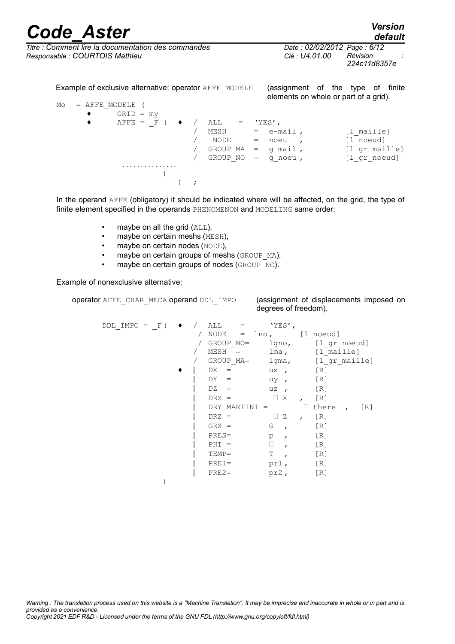# *Code\_Aster Version*<br>*Lection default*<br>*Comment lire la documentation des commandes Date : 02/02/2012 Page : 6/12*

*default*

*<u>Titre : Comment lire la documentation des commandes</u> Responsable : COURTOIS Mathieu Clé : U4.01.00 Révision :*

*224c11d8357e*

Example of exclusive alternative: operator AFFE\_MODELE (assignment of the type of finite elements on whole or part of a grid).  $Mo = AFFE MODELE$  (  $GRID = my$  $\begin{array}{cccc} \bullet & \quad \text{AFFE} & = & F & (\quad \bullet & / & \text{ALL} & = & \text{YES'} \,, \\ & & & / & \text{MESH} & = & \text{e--m} \end{array}$ / MESH = e-mail, [l\_maille] / NODE = noeu , [l\_noeud] / GROUP\_MA = g\_mail , [l\_gr\_maille]<br>/ GROUP\_NO = g\_noeu , [l\_gr\_noeud] /  $GROUP^NO = g^N$ noeu, ............... ) ) ;

In the operand AFFE (obligatory) it should be indicated where will be affected, on the grid, the type of finite element specified in the operands PHENOMENON and MODELING same order:

- maybe on all the grid (ALL),
- maybe on certain meshs (MESH),
- maybe on certain nodes (NODE),
- maybe on certain groups of meshs (GROUP MA),
- maybe on certain groups of nodes (GROUP  $N$ O).

Example of nonexclusive alternative:

operator AFFE\_CHAR\_MECA operand DDL\_IMPO (assignment of displacements imposed on

degrees of freedom).

| $DDL$ IMPO = $F($ |  | ALL<br>$=$    | 'YES',               |                              |
|-------------------|--|---------------|----------------------|------------------------------|
|                   |  | NODE          | $=$ lno,             | [1 noeud]                    |
|                   |  | GROUP NO=     | $1$ qno,             | [l gr noeud]                 |
|                   |  | $MESH =$      | lma,                 | [1 maille]                   |
|                   |  | GROUP MA=     | lgma,                | [1 gr maille]                |
|                   |  | DX.<br>$=$    | ux<br>$\overline{ }$ | [R]                          |
|                   |  | DY.<br>$=$    | uy<br>$\overline{ }$ | [R]                          |
|                   |  | DZ<br>$=$     | uz<br>$\overline{ }$ | $\lceil R \rceil$            |
|                   |  | $DRX =$       | X<br>$\Box$          | $\lceil R \rceil$            |
|                   |  | DRY MARTINI = |                      | there<br>[R]<br>$\mathbf{r}$ |
|                   |  | $DRZ =$       | Z                    | [R]                          |
|                   |  | $GRX =$       | G<br>$\mathbf{r}$    | [R]                          |
|                   |  | $PRES=$       | p<br>$\mathbf{r}$    | [R]                          |
|                   |  | $PHI =$       | □                    | [R]                          |
|                   |  | $TEMP =$      | Т                    | [R]                          |
|                   |  | $PRE1=$       | pr1,                 | [R]                          |
|                   |  | $PRE2=$       | pr2,                 | [R]                          |
|                   |  |               |                      |                              |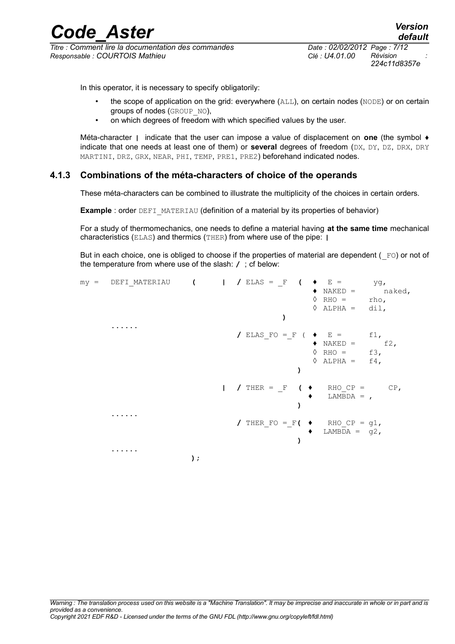*<u>Titre : Comment lire la documentation des commandes</u> Responsable : COURTOIS Mathieu Clé : U4.01.00 Révision :*

*224c11d8357e*

In this operator, it is necessary to specify obligatorily:

- the scope of application on the grid: everywhere (ALL), on certain nodes (NODE) or on certain groups of nodes (GROUP NO),
- on which degrees of freedom with which specified values by the user.

Méta-character **|** indicate that the user can impose a value of displacement on **one** (the symbol ♦ indicate that one needs at least one of them) or **several** degrees of freedom (DX, DY, DZ, DRX, DRY MARTINI, DRZ, GRX, NEAR, PHI, TEMP, PRE1, PRE2) beforehand indicated nodes.

#### **4.1.3 Combinations of the méta-characters of choice of the operands**

<span id="page-6-0"></span>These méta-characters can be combined to illustrate the multiplicity of the choices in certain orders.

**Example** : order DEFI\_MATERIAU (definition of a material by its properties of behavior)

For a study of thermomechanics, one needs to define a material having **at the same time** mechanical characteristics (ELAS) and thermics (THER) from where use of the pipe: **|**

But in each choice, one is obliged to choose if the properties of material are dependent ( $_F$ O) or not of the temperature from where use of the slash: **/** ; cf below:

| $my =$ | DEFI MATERIAU (   / ELAS = F |    |              | $\sqrt{2}$                                | $\bullet$ E =                 | yg,    |
|--------|------------------------------|----|--------------|-------------------------------------------|-------------------------------|--------|
|        |                              |    |              |                                           | $\blacklozenge$ NAKED =       | naked, |
|        |                              |    |              | ♦                                         | $RHO =$                       | rho,   |
|        |                              |    |              |                                           | $\Diamond$ ALPHA = dil,       |        |
|        |                              |    |              |                                           |                               |        |
|        |                              |    |              |                                           |                               |        |
|        |                              |    |              | / ELAS FO = F ( $\blacklozenge$ E =       |                               | $f1$ , |
|        |                              |    |              |                                           | $\blacklozenge$ NAKED =       | f2,    |
|        |                              |    |              | ♦                                         | $RHO =$                       | $f3$ , |
|        |                              |    |              | ♦                                         | $ALPHA =$                     | $f4$ , |
|        |                              |    |              |                                           |                               |        |
|        |                              |    | $\mathbf{L}$ | / THER = $F$ ( $\blacklozenge$            | RHO $CP = CP$ ,<br>$LAMBDA =$ |        |
|        |                              |    |              |                                           |                               |        |
|        |                              |    |              |                                           |                               |        |
|        |                              |    |              | / THER FO = F( $\rightarrow$ RHO CP = g1, |                               |        |
|        |                              |    |              | ٠                                         | LAMBDA = $q2$ ,               |        |
|        |                              |    |              |                                           |                               |        |
|        |                              |    |              |                                           |                               |        |
|        |                              | ); |              |                                           |                               |        |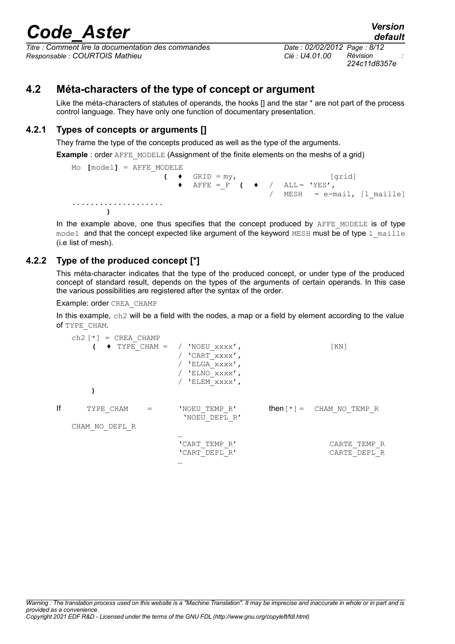# *Code\_Aster Version*<br>*Leg*: Comment lire la documentation des commandes<br>*Comment lire la documentation des commandes Date : 02/02/2012 Page : 8/12*

*<u>Titre : Comment lire la documentation des commandes</u> Responsable : COURTOIS Mathieu Clé : U4.01.00 Révision :*

*224c11d8357e*

### **4.2 Méta-characters of the type of concept or argument**

<span id="page-7-2"></span>Like the méta-characters of statutes of operands, the hooks [] and the star \* are not part of the process control language. They have only one function of documentary presentation.

### **4.2.1 Types of concepts or arguments []**

<span id="page-7-1"></span>They frame the type of the concepts produced as well as the type of the arguments.

**Example** : order AFFE\_MODELE (Assignment of the finite elements on the meshs of a grid)

```
Mo [model] = AFFE_MODELE
                          ( \bullet GRID = my, [grid]<br>\bullet AFFE = F ( \bullet / ALL= 'YES',
                              \triangle AFFE = F ( \triangle /
                                                       / MESH = e-mail, [l_maille]
....................
         )
```
In the example above, one thus specifies that the concept produced by AFFE\_MODELE is of type model and that the concept expected like argument of the keyword MESH must be of type  $1$  maille (i.e list of mesh).

### **4.2.2 Type of the produced concept [\*]**

<span id="page-7-0"></span>This méta-character indicates that the type of the produced concept, or under type of the produced concept of standard result, depends on the types of the arguments of certain operands. In this case the various possibilities are registered after the syntax of the order.

#### Example: order CREA\_CHAMP

In this example, ch2 will be a field with the nodes, a map or a field by element according to the value of TYPE\_CHAM.

|    | $ch2$ $\lceil * \rceil$ = CREA CHAMP |                                                                                                          |                                                |
|----|--------------------------------------|----------------------------------------------------------------------------------------------------------|------------------------------------------------|
|    |                                      | $\rightarrow$ TYPE CHAM = / 'NOEU XXXX',<br>'CART xxxx',<br>'ELGA xxxx',<br>'ELNO XXXX',<br>'ELEM xxxx', | $\lceil KN \rceil$                             |
| lf | TYPE CHAM                            | 'NOEU TEMP R'<br>'NOEU DEPL R'                                                                           | <b>then</b> $\lceil * \rceil$ = CHAM NO TEMP R |
|    | CHAM NO DEPL R                       | $\cdots$                                                                                                 |                                                |
|    |                                      | 'CART TEMP R'<br>'CART DEPL R'<br>$\cdots$                                                               | CARTE TEMP R<br>CARTE DEPL R                   |

*default*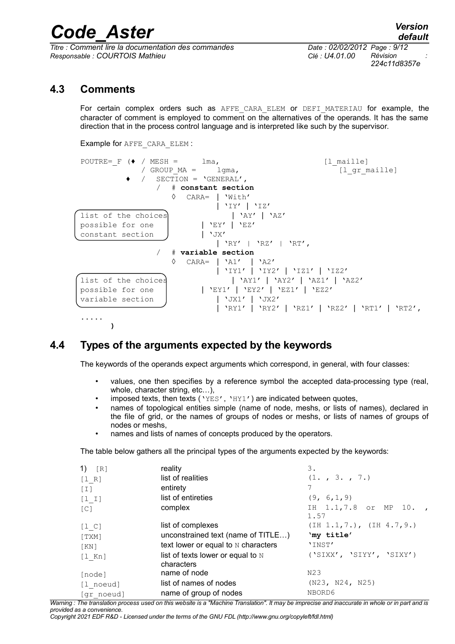*<u>Titre : Comment lire la documentation des commandes</u> Responsable : COURTOIS Mathieu Clé : U4.01.00 Révision :*

*224c11d8357e*

### **4.3 Comments**

<span id="page-8-1"></span>For certain complex orders such as AFFE CARA ELEM or DEFI\_MATERIAU for example, the character of comment is employed to comment on the alternatives of the operands. It has the same direction that in the process control language and is interpreted like such by the supervisor.

```
Example for AFFE_CARA_ELEM :
```


### **4.4 Types of the arguments expected by the keywords**

<span id="page-8-0"></span>The keywords of the operands expect arguments which correspond, in general, with four classes:

- values, one then specifies by a reference symbol the accepted data-processing type (real, whole, character string, etc…),
- imposed texts, then texts ( $YES'$ ,  $YHY1'$ ) are indicated between quotes,
- names of topological entities simple (name of node, meshs, or lists of names), declared in the file of grid, or the names of groups of nodes or meshs, or lists of names of groups of nodes or meshs,
- names and lists of names of concepts produced by the operators.

The table below gathers all the principal types of the arguments expected by the keywords:

| 1) $[R]$          | reality                             | 3.                         |
|-------------------|-------------------------------------|----------------------------|
| [1 R]             | list of realities                   | (1. , 3. , 7. )            |
| $\lceil 1 \rceil$ | entirety                            | 7                          |
| $[1 1]$           | list of entireties                  | (9, 6, 1, 9)               |
| $\lceil C \rceil$ | complex                             | IH 1.1,7.8 or MP 10.,      |
|                   |                                     | 1.57                       |
| $[1\ C]$          | list of complexes                   | (IH 1.1, 7.), (IH 4.7, 9.) |
| [TXM]             | unconstrained text (name of TITLE)  | 'my title'                 |
| KN                | text lower or equal to N characters | 'INST'                     |
| $[1$ Kn]          | list of texts lower or equal to $N$ | ('SIXX', 'SIYY', 'SIXY')   |
|                   | characters                          |                            |
| [node]            | name of node                        | N23                        |
| [l noeud]         | list of names of nodes              | (N23, N24, N25)            |
| [gr noeud]        | name of group of nodes              | NBORD6                     |

*Warning : The translation process used on this website is a "Machine Translation". It may be imprecise and inaccurate in whole or in part and is provided as a convenience.*

*Copyright 2021 EDF R&D - Licensed under the terms of the GNU FDL (http://www.gnu.org/copyleft/fdl.html)*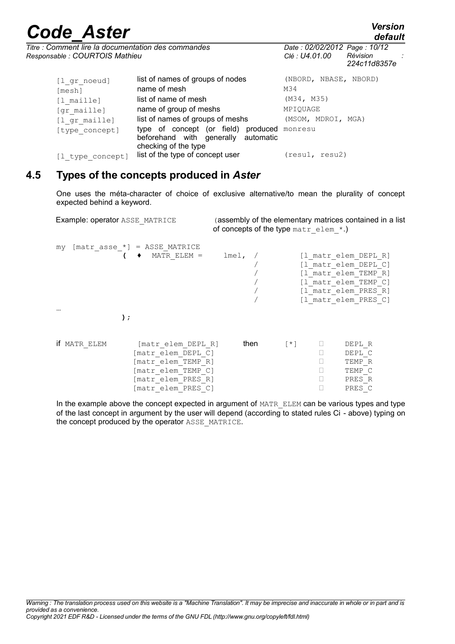*default*

| Titre : Comment lire la documentation des commandes |  |
|-----------------------------------------------------|--|
| Responsable : COURTOIS Mathieu                      |  |

 $\frac{1}{\text{mesh}}$  name of mesh

*Responsable : COURTOIS Mathieu Clé : U4.01.00 Révision : 224c11d8357e* [1\_gr\_noeud] **list of names of groups of nodes** (NBORD, NBASE, NBORD)<br>
mach **lumes of mesh** M34 [1 maille] **list of name of mesh** (M34, M35) [gr\_maille] **name of group of meshs** MPIQUAGE<br>[1 gr\_maille] **list of names of groups of meshs** (MSOM, MDROI, MGA)  $\overline{p}$ [1  $\overline{q}$ r maille] list of names of groups of meshs [type concept] type of concept (or field) produced monresu beforehand with generally automatic [1 type concept] list of the type of concept user (resu1, resu2)

*Titre : Comment lire la documentation des commandes Date : 02/02/2012 Page : 10/12*

### **4.5 Types of the concepts produced in** *Aster*

checking of the type

<span id="page-9-0"></span>One uses the méta-character of choice of exclusive alternative/to mean the plurality of concept expected behind a keyword.

Example: operator ASSE\_MATRICE (assembly of the elementary matrices contained in a list of concepts of the type matr elem  $*$ .)

my  $[\text{matr\_asse\_*}] = \text{ASSE\_MATRICE}$ <br>  $\qquad \qquad \bullet \qquad \text{MATR ELEM} =$ lmel, / [l\_matr\_elem\_DEPL\_R] / [l\_matr\_elem\_DEPL\_C] / [l\_matr\_elem\_TEMP\_R] / [l\_matr\_elem\_TEMP\_C] [1<sup>-</sup>matr<sup>-</sup>elem<sup>-</sup>PRES<sup>-</sup>R] [1 matr elem PRES C] … **);** if MATR ELEM  $[matr$  elem DEPL R] then  $[*]$  DEPL R [matr\_elem\_DEPL\_C] DEPL\_C [matr\_elem\_TEMP\_R] TEMP\_R [matr\_elem\_TEMP\_C] TEMP\_C [matr\_elem\_PRES\_R] PRES\_R [matr\_elem\_PRES\_C] PRES\_C

In the example above the concept expected in argument of  $MATE$  ELEM can be various types and type of the last concept in argument by the user will depend (according to stated rules Ci - above) typing on the concept produced by the operator ASSE\_MATRICE.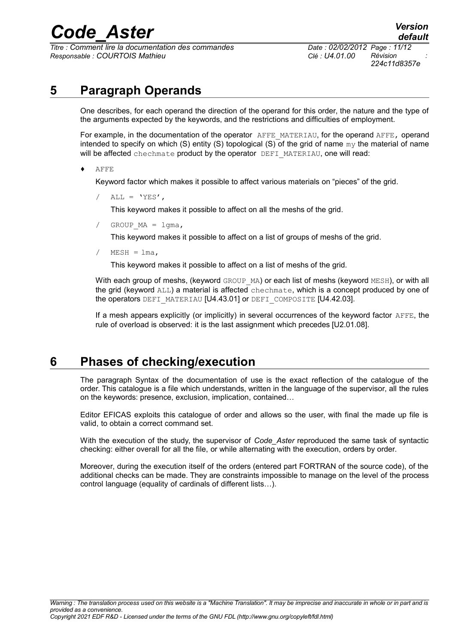*<u>Titre : Comment lire la documentation des commandes</u> Responsable : COURTOIS Mathieu Clé : U4.01.00 Révision :*

## **5 Paragraph Operands**

<span id="page-10-1"></span>One describes, for each operand the direction of the operand for this order, the nature and the type of the arguments expected by the keywords, and the restrictions and difficulties of employment.

For example, in the documentation of the operator AFFE\_MATERIAU, for the operand AFFE, operand intended to specify on which (S) entity (S) topological (S) of the grid of name  $m<sub>Y</sub>$  the material of name will be affected chechmate product by the operator DEFI\_MATERIAU, one will read:

♦ AFFE

Keyword factor which makes it possible to affect various materials on "pieces" of the grid.

 $ALL = 'YES'$ ,

This keyword makes it possible to affect on all the meshs of the grid.

GROUP  $MA = 1$ gma,

This keyword makes it possible to affect on a list of groups of meshs of the grid.

 $MESH = Ima$ ,

This keyword makes it possible to affect on a list of meshs of the grid.

With each group of meshs, (keyword  $GROUP$  MA) or each list of meshs (keyword MESH), or with all the grid (keyword  $ALL$ ) a material is affected chechmate, which is a concept produced by one of the operators DEFI\_MATERIAU [U4.43.01] or DEFI\_COMPOSITE [U4.42.03].

If a mesh appears explicitly (or implicitly) in several occurrences of the keyword factor AFFE, the rule of overload is observed: it is the last assignment which precedes [U2.01.08].

### **6 Phases of checking/execution**

<span id="page-10-0"></span>The paragraph Syntax of the documentation of use is the exact reflection of the catalogue of the order. This catalogue is a file which understands, written in the language of the supervisor, all the rules on the keywords: presence, exclusion, implication, contained…

Editor EFICAS exploits this catalogue of order and allows so the user, with final the made up file is valid, to obtain a correct command set.

With the execution of the study, the supervisor of *Code\_Aster* reproduced the same task of syntactic checking: either overall for all the file, or while alternating with the execution, orders by order.

Moreover, during the execution itself of the orders (entered part FORTRAN of the source code), of the additional checks can be made. They are constraints impossible to manage on the level of the process control language (equality of cardinals of different lists…).